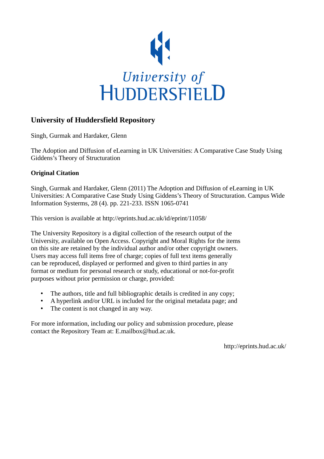

# **University of Huddersfield Repository**

Singh, Gurmak and Hardaker, Glenn

The Adoption and Diffusion of eLearning in UK Universities: A Comparative Case Study Using Giddens's Theory of Structuration

## **Original Citation**

Singh, Gurmak and Hardaker, Glenn (2011) The Adoption and Diffusion of eLearning in UK Universities: A Comparative Case Study Using Giddens's Theory of Structuration. Campus Wide Information Systerms, 28 (4). pp. 221-233. ISSN 1065-0741

This version is available at http://eprints.hud.ac.uk/id/eprint/11058/

The University Repository is a digital collection of the research output of the University, available on Open Access. Copyright and Moral Rights for the items on this site are retained by the individual author and/or other copyright owners. Users may access full items free of charge; copies of full text items generally can be reproduced, displayed or performed and given to third parties in any format or medium for personal research or study, educational or not-for-profit purposes without prior permission or charge, provided:

- The authors, title and full bibliographic details is credited in any copy;
- A hyperlink and/or URL is included for the original metadata page; and
- The content is not changed in any way.

For more information, including our policy and submission procedure, please contact the Repository Team at: E.mailbox@hud.ac.uk.

http://eprints.hud.ac.uk/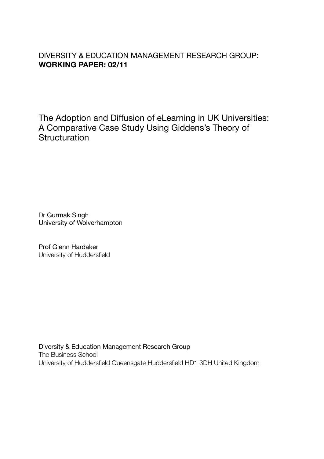# DIVERSITY & EDUCATION MANAGEMENT RESEARCH GROUP: **WORKING PAPER: 02/11**

The Adoption and Diffusion of eLearning in UK Universities: A Comparative Case Study Using Giddens's Theory of **Structuration** 

Dr Gurmak Singh University of Wolverhampton

Prof Glenn Hardaker University of Huddersfield

Diversity & Education Management Research Group The Business School University of Huddersfield Queensgate Huddersfield HD1 3DH United Kingdom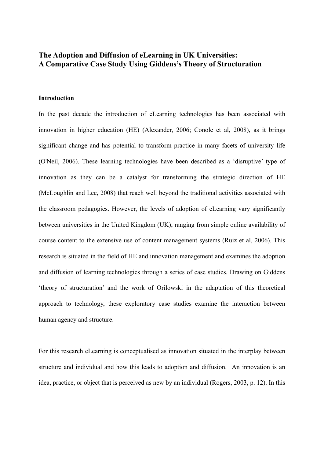## **The Adoption and Diffusion of eLearning in UK Universities: A Comparative Case Study Using Giddens's Theory of Structuration**

#### **Introduction**

In the past decade the introduction of eLearning technologies has been associated with innovation in higher education (HE) (Alexander, 2006; Conole et al, 2008), as it brings significant change and has potential to transform practice in many facets of university life (O'Neil, 2006). These learning technologies have been described as a 'disruptive' type of innovation as they can be a catalyst for transforming the strategic direction of HE (McLoughlin and Lee, 2008) that reach well beyond the traditional activities associated with the classroom pedagogies. However, the levels of adoption of eLearning vary significantly between universities in the United Kingdom (UK), ranging from simple online availability of course content to the extensive use of content management systems ([Ruiz et al, 2006](http://www.eurodl.org/index.php?p=archives&year=2008&halfyear=1&article=313)). This research is situated in the field of HE and innovation management and examines the adoption and diffusion of learning technologies through a series of case studies. Drawing on Giddens 'theory of structuration' and the work of Orilowski in the adaptation of this theoretical approach to technology, these exploratory case studies examine the interaction between human agency and structure.

For this research eLearning is conceptualised as innovation situated in the interplay between structure and individual and how this leads to adoption and diffusion. An innovation is an idea, practice, or object that is perceived as new by an individual (Rogers, 2003, p. 12). In this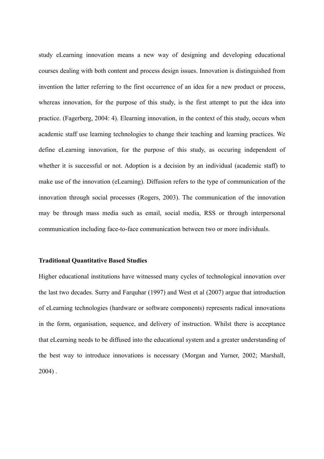study eLearning innovation means a new way of designing and developing educational courses dealing with both content and process design issues. Innovation is distinguished from invention the latter referring to the first occurrence of an idea for a new product or process, whereas innovation, for the purpose of this study, is the first attempt to put the idea into practice. (Fagerberg, 2004: 4). Elearning innovation, in the context of this study, occurs when academic staff use learning technologies to change their teaching and learning practices. We define eLearning innovation, for the purpose of this study, as occuring independent of whether it is successful or not. Adoption is a decision by an individual (academic staff) to make use of the innovation (eLearning). Diffusion refers to the type of communication of the innovation through social processes (Rogers, 2003). The communication of the innovation may be through mass media such as email, social media, RSS or through interpersonal communication including face-to-face communication between two or more individuals.

#### **Traditional Quantitative Based Studies**

Higher educational institutions have witnessed many cycles of technological innovation over the last two decades. Surry and Farquhar (1997) and West et al (2007) argue that introduction of eLearning technologies (hardware or software components) represents radical innovations in the form, organisation, sequence, and delivery of instruction. Whilst there is acceptance that eLearning needs to be diffused into the educational system and a greater understanding of the best way to introduce innovations is necessary (Morgan and Yurner, 2002; Marshall, 2004) .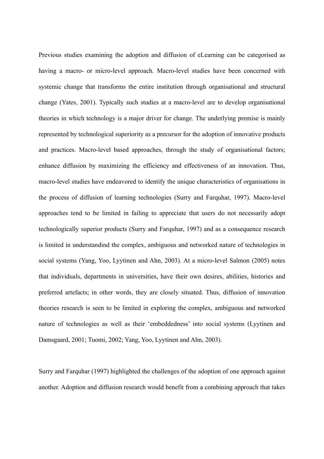Previous studies examining the adoption and diffusion of eLearning can be categorised as having a macro- or micro-level approach. Macro-level studies have been concerned with systemic change that transforms the entire institution through organisational and structural change (Yates, 2001). Typically such studies at a macro-level are to develop organisational theories in which technology is a major driver for change. The underlying premise is mainly represented by technological superiority as a precursor for the adoption of innovative products and practices. Macro-level based approaches, through the study of organisational factors; enhance diffusion by maximizing the efficiency and effectiveness of an innovation. Thus, macro-level studies have endeavored to identify the unique characteristics of organisations in the process of diffusion of learning technologies (Surry and Farquhar, 1997). Macro-level approaches tend to be limited in failing to appreciate that users do not necessarily adopt technologically superior products (Surry and Farquhar, 1997) and as a consequence research is limited in understandind the complex, ambiguous and networked nature of technologies in social systems (Yang, Yoo, Lyytinen and Ahn, 2003). At a micro-level Salmon (2005) notes that individuals, departments in universities, have their own desires, abilities, histories and preferred artefacts; in other words, they are closely situated. Thus, diffusion of innovation theories research is seen to be limited in exploring the complex, ambiguous and networked nature of technologies as well as their 'embeddedness' into social systems (Lyytinen and Damsgaard, 2001; Tuomi, 2002; Yang, Yoo, Lyytinen and Ahn, 2003).

Surry and Farquhar (1997) highlighted the challenges of the adoption of one approach against another. Adoption and diffusion research would benefit from a combining approach that takes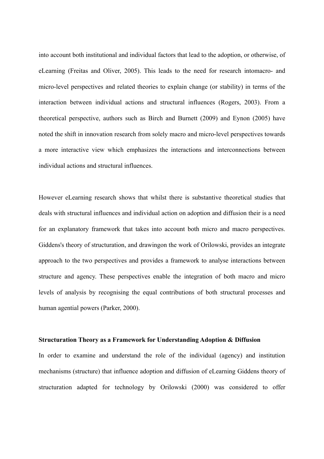into account both institutional and individual factors that lead to the adoption, or otherwise, of eLearning (Freitas and Oliver, 2005). This leads to the need for research intomacro- and micro-level perspectives and related theories to explain change (or stability) in terms of the interaction between individual actions and structural influences (Rogers, 2003). From a theoretical perspective, authors such as Birch and Burnett (2009) and Eynon (2005) have noted the shift in innovation research from solely macro and micro-level perspectives towards a more interactive view which emphasizes the interactions and interconnections between individual actions and structural influences.

However eLearning research shows that whilst there is substantive theoretical studies that deals with structural influences and individual action on adoption and diffusion their is a need for an explanatory framework that takes into account both micro and macro perspectives. Giddens's theory of structuration, and drawingon the work of Orilowski, provides an integrate approach to the two perspectives and provides a framework to analyse interactions between structure and agency. These perspectives enable the integration of both macro and micro levels of analysis by recognising the equal contributions of both structural processes and human agential powers (Parker, 2000).

#### **Structuration Theory as a Framework for Understanding Adoption & Diffusion**

In order to examine and understand the role of the individual (agency) and institution mechanisms (structure) that influence adoption and diffusion of eLearning Giddens theory of structuration adapted for technology by Orilowski (2000) was considered to offer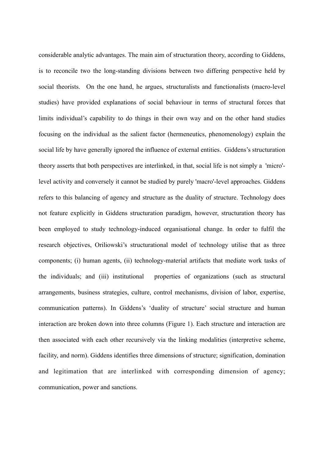considerable analytic advantages. The main aim of structuration theory, according to Giddens, is to reconcile two the long-standing divisions between two differing perspective held by social theorists. On the one hand, he argues, structuralists and functionalists (macro-level studies) have provided explanations of social behaviour in terms of structural forces that limits individual's capability to do things in their own way and on the other hand studies focusing on the individual as the salient factor (hermeneutics, phenomenology) explain the social life by have generally ignored the influence of external entities. Giddens's structuration theory asserts that both perspectives are interlinked, in that, social life is not simply a 'micro' level activity and conversely it cannot be studied by purely 'macro'-level approaches. Giddens refers to this balancing of agency and structure as the duality of structure. Technology does not feature explicitly in Giddens structuration paradigm, however, structuration theory has been employed to study technology-induced organisational change. In order to fulfil the research objectives, Oriliowski's structurational model of technology utilise that as three components; (i) human agents, (ii) technology-material artifacts that mediate work tasks of the individuals; and (iii) institutional properties of organizations (such as structural arrangements, business strategies, culture, control mechanisms, division of labor, expertise, communication patterns). In Giddens's 'duality of structure' social structure and human interaction are broken down into three columns (Figure 1). Each structure and interaction are then associated with each other recursively via the linking modalities (interpretive scheme, facility, and norm). Giddens identifies three dimensions of structure; signification, domination and legitimation that are interlinked with corresponding dimension of agency; communication, power and sanctions.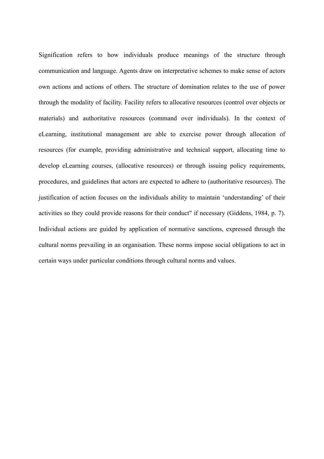Signification refers to how individuals produce meanings of the structure through communication and language. Agents draw on interpretative schemes to make sense of actors own actions and actions of others. The structure of domination relates to the use of power through the modality of facility. Facility refers to allocative resources (control over objects or materials) and authoritative resources (command over individuals). In the context of eLearning, institutional management are able to exercise power through allocation of resources (for example, providing administrative and technical support, allocating time to develop eLearning courses, (allocative resources) or through issuing policy requirements, procedures, and guidelines that actors are expected to adhere to (authoritative resources). The justification of action focuses on the individuals ability to maintain 'understanding' of their activities so they could provide reasons for their conduct" if necessary (Giddens, 1984, p. 7). Individual actions are guided by application of normative sanctions, expressed through the cultural norms prevailing in an organisation. These norms impose social obligations to act in certain ways under particular conditions through cultural norms and values.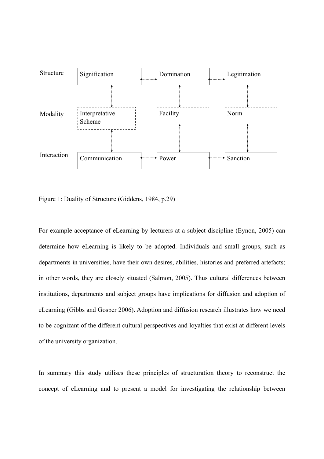

Figure 1: Duality of Structure (Giddens, 1984, p.29)

For example acceptance of eLearning by lecturers at a subject discipline (Eynon, 2005) can determine how eLearning is likely to be adopted. Individuals and small groups, such as departments in universities, have their own desires, abilities, histories and preferred artefacts; in other words, they are closely situated (Salmon, 2005). Thus cultural differences between institutions, departments and subject groups have implications for diffusion and adoption of eLearning (Gibbs and Gosper 2006). Adoption and diffusion research illustrates how we need to be cognizant of the different cultural perspectives and loyalties that exist at different levels of the university organization.

In summary this study utilises these principles of structuration theory to reconstruct the concept of eLearning and to present a model for investigating the relationship between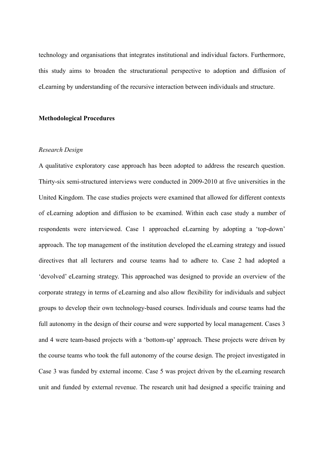technology and organisations that integrates institutional and individual factors. Furthermore, this study aims to broaden the structurational perspective to adoption and diffusion of eLearning by understanding of the recursive interaction between individuals and structure.

#### **Methodological Procedures**

#### *Research Design*

A qualitative exploratory case approach has been adopted to address the research question. Thirty-six semi-structured interviews were conducted in 2009-2010 at five universities in the United Kingdom. The case studies projects were examined that allowed for different contexts of eLearning adoption and diffusion to be examined. Within each case study a number of respondents were interviewed. Case 1 approached eLearning by adopting a 'top-down' approach. The top management of the institution developed the eLearning strategy and issued directives that all lecturers and course teams had to adhere to. Case 2 had adopted a 'devolved' eLearning strategy. This approached was designed to provide an overview of the corporate strategy in terms of eLearning and also allow flexibility for individuals and subject groups to develop their own technology-based courses. Individuals and course teams had the full autonomy in the design of their course and were supported by local management. Cases 3 and 4 were team-based projects with a 'bottom-up' approach. These projects were driven by the course teams who took the full autonomy of the course design. The project investigated in Case 3 was funded by external income. Case 5 was project driven by the eLearning research unit and funded by external revenue. The research unit had designed a specific training and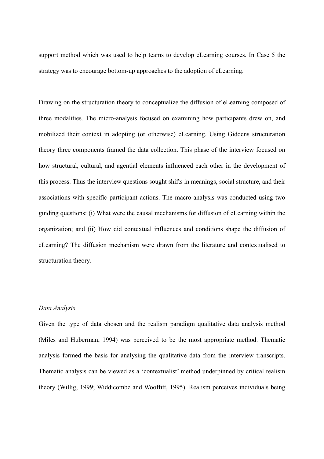support method which was used to help teams to develop eLearning courses. In Case 5 the strategy was to encourage bottom-up approaches to the adoption of eLearning.

Drawing on the structuration theory to conceptualize the diffusion of eLearning composed of three modalities. The micro-analysis focused on examining how participants drew on, and mobilized their context in adopting (or otherwise) eLearning. Using Giddens structuration theory three components framed the data collection. This phase of the interview focused on how structural, cultural, and agential elements influenced each other in the development of this process. Thus the interview questions sought shifts in meanings, social structure, and their associations with specific participant actions. The macro-analysis was conducted using two guiding questions: (i) What were the causal mechanisms for diffusion of eLearning within the organization; and (ii) How did contextual influences and conditions shape the diffusion of eLearning? The diffusion mechanism were drawn from the literature and contextualised to structuration theory.

#### *Data Analysis*

Given the type of data chosen and the realism paradigm qualitative data analysis method (Miles and Huberman, 1994) was perceived to be the most appropriate method. Thematic analysis formed the basis for analysing the qualitative data from the interview transcripts. Thematic analysis can be viewed as a 'contextualist' method underpinned by critical realism theory (Willig, 1999; Widdicombe and Wooffitt, 1995). Realism perceives individuals being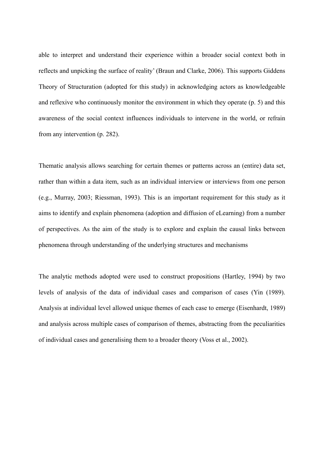able to interpret and understand their experience within a broader social context both in reflects and unpicking the surface of reality' (Braun and Clarke, 2006). This supports Giddens Theory of Structuration (adopted for this study) in acknowledging actors as knowledgeable and reflexive who continuously monitor the environment in which they operate (p. 5) and this awareness of the social context influences individuals to intervene in the world, or refrain from any intervention (p. 282).

Thematic analysis allows searching for certain themes or patterns across an (entire) data set, rather than within a data item, such as an individual interview or interviews from one person (e.g., Murray, 2003; Riessman, 1993). This is an important requirement for this study as it aims to identify and explain phenomena (adoption and diffusion of eLearning) from a number of perspectives. As the aim of the study is to explore and explain the causal links between phenomena through understanding of the underlying structures and mechanisms

The analytic methods adopted were used to construct propositions (Hartley, 1994) by two levels of analysis of the data of individual cases and comparison of cases (Yin (1989). Analysis at individual level allowed unique themes of each case to emerge (Eisenhardt, 1989) and analysis across multiple cases of comparison of themes, abstracting from the peculiarities of individual cases and generalising them to a broader theory (Voss et al., 2002).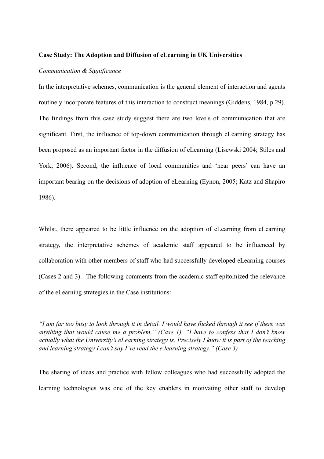#### **Case Study: The Adoption and Diffusion of eLearning in UK Universities**

#### *Communication & Significance*

In the interpretative schemes, communication is the general element of interaction and agents routinely incorporate features of this interaction to construct meanings (Giddens, 1984, p.29). The findings from this case study suggest there are two levels of communication that are significant. First, the influence of top-down communication through eLearning strategy has been proposed as an important factor in the diffusion of eLearning (Lisewski 2004; Stiles and York, 2006). Second, the influence of local communities and 'near peers' can have an important bearing on the decisions of adoption of eLearning (Eynon, 2005; Katz and Shapiro 1986).

Whilst, there appeared to be little influence on the adoption of eLearning from eLearning strategy, the interpretative schemes of academic staff appeared to be influenced by collaboration with other members of staff who had successfully developed eLearning courses (Cases 2 and 3). The following comments from the academic staff epitomized the relevance of the eLearning strategies in the Case institutions:

*"I am far too busy to look through it in detail. I would have flicked through it see if there was anything that would cause me a problem." (Case 1). "I have to confess that I don't know actually what the University's eLearning strategy is. Precisely I know it is part of the teaching and learning strategy I can't say I've read the e learning strategy." (Case 3)*

The sharing of ideas and practice with fellow colleagues who had successfully adopted the learning technologies was one of the key enablers in motivating other staff to develop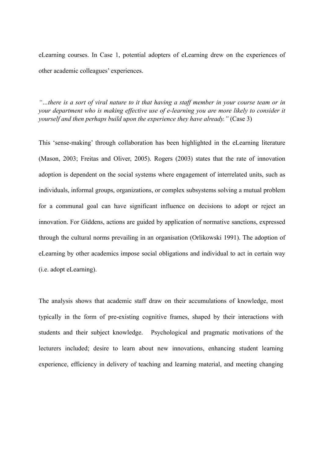eLearning courses. In Case 1, potential adopters of eLearning drew on the experiences of other academic colleagues' experiences.

*"…there is a sort of viral nature to it that having a staff member in your course team or in your department who is making effective use of e-learning you are more likely to consider it yourself and then perhaps build upon the experience they have already."* (Case 3)

This 'sense-making' through collaboration has been highlighted in the eLearning literature (Mason, 2003; Freitas and Oliver, 2005). Rogers (2003) states that the rate of innovation adoption is dependent on the social systems where engagement of interrelated units, such as individuals, informal groups, organizations, or complex subsystems solving a mutual problem for a communal goal can have significant influence on decisions to adopt or reject an innovation. For Giddens, actions are guided by application of normative sanctions, expressed through the cultural norms prevailing in an organisation (Orlikowski 1991). The adoption of eLearning by other academics impose social obligations and individual to act in certain way (i.e. adopt eLearning).

The analysis shows that academic staff draw on their accumulations of knowledge, most typically in the form of pre-existing cognitive frames, shaped by their interactions with students and their subject knowledge. Psychological and pragmatic motivations of the lecturers included; desire to learn about new innovations, enhancing student learning experience, efficiency in delivery of teaching and learning material, and meeting changing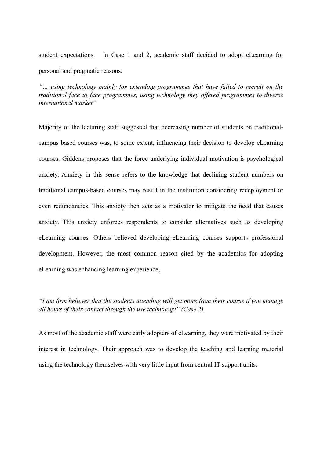student expectations. In Case 1 and 2, academic staff decided to adopt eLearning for personal and pragmatic reasons.

*"… using technology mainly for extending programmes that have failed to recruit on the traditional face to face programmes, using technology they offered programmes to diverse international market"*

Majority of the lecturing staff suggested that decreasing number of students on traditionalcampus based courses was, to some extent, influencing their decision to develop eLearning courses. Giddens proposes that the force underlying individual motivation is psychological anxiety. Anxiety in this sense refers to the knowledge that declining student numbers on traditional campus-based courses may result in the institution considering redeployment or even redundancies. This anxiety then acts as a motivator to mitigate the need that causes anxiety. This anxiety enforces respondents to consider alternatives such as developing eLearning courses. Others believed developing eLearning courses supports professional development. However, the most common reason cited by the academics for adopting eLearning was enhancing learning experience,

*"I am firm believer that the students attending will get more from their course if you manage all hours of their contact through the use technology" (Case 2).* 

As most of the academic staff were early adopters of eLearning, they were motivated by their interest in technology. Their approach was to develop the teaching and learning material using the technology themselves with very little input from central IT support units.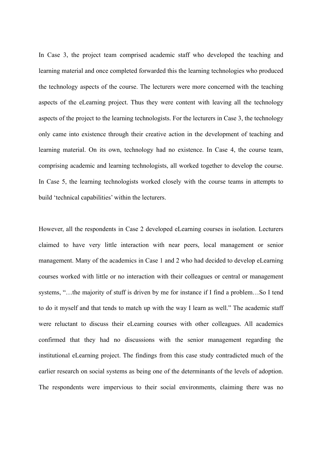In Case 3, the project team comprised academic staff who developed the teaching and learning material and once completed forwarded this the learning technologies who produced the technology aspects of the course. The lecturers were more concerned with the teaching aspects of the eLearning project. Thus they were content with leaving all the technology aspects of the project to the learning technologists. For the lecturers in Case 3, the technology only came into existence through their creative action in the development of teaching and learning material. On its own, technology had no existence. In Case 4, the course team, comprising academic and learning technologists, all worked together to develop the course. In Case 5, the learning technologists worked closely with the course teams in attempts to build 'technical capabilities' within the lecturers.

However, all the respondents in Case 2 developed eLearning courses in isolation. Lecturers claimed to have very little interaction with near peers, local management or senior management. Many of the academics in Case 1 and 2 who had decided to develop eLearning courses worked with little or no interaction with their colleagues or central or management systems, "…the majority of stuff is driven by me for instance if I find a problem…So I tend to do it myself and that tends to match up with the way I learn as well." The academic staff were reluctant to discuss their eLearning courses with other colleagues. All academics confirmed that they had no discussions with the senior management regarding the institutional eLearning project. The findings from this case study contradicted much of the earlier research on social systems as being one of the determinants of the levels of adoption. The respondents were impervious to their social environments, claiming there was no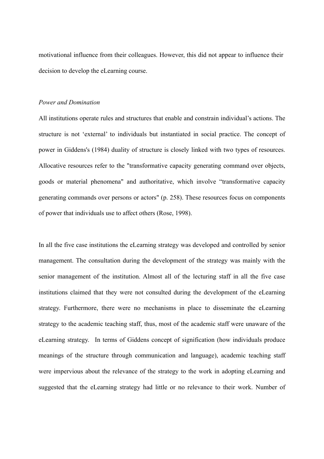motivational influence from their colleagues. However, this did not appear to influence their decision to develop the eLearning course.

#### *Power and Domination*

All institutions operate rules and structures that enable and constrain individual's actions. The structure is not 'external' to individuals but instantiated in social practice. The concept of power in Giddens's (1984) duality of structure is closely linked with two types of resources. Allocative resources refer to the "transformative capacity generating command over objects, goods or material phenomena" and authoritative, which involve "transformative capacity generating commands over persons or actors" (p. 258). These resources focus on components of power that individuals use to affect others (Rose, 1998).

In all the five case institutions the eLearning strategy was developed and controlled by senior management. The consultation during the development of the strategy was mainly with the senior management of the institution. Almost all of the lecturing staff in all the five case institutions claimed that they were not consulted during the development of the eLearning strategy. Furthermore, there were no mechanisms in place to disseminate the eLearning strategy to the academic teaching staff, thus, most of the academic staff were unaware of the eLearning strategy. In terms of Giddens concept of signification (how individuals produce meanings of the structure through communication and language), academic teaching staff were impervious about the relevance of the strategy to the work in adopting eLearning and suggested that the eLearning strategy had little or no relevance to their work. Number of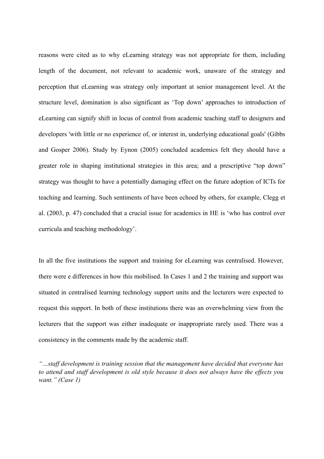reasons were cited as to why eLearning strategy was not appropriate for them, including length of the document, not relevant to academic work, unaware of the strategy and perception that eLearning was strategy only important at senior management level. At the structure level, domination is also significant as 'Top down' approaches to introduction of eLearning can signify shift in locus of control from academic teaching staff to designers and developers 'with little or no experience of, or interest in, underlying educational goals' (Gibbs and Gosper 2006). Study by Eynon (2005) concluded academics felt they should have a greater role in shaping institutional strategies in this area; and a prescriptive "top down" strategy was thought to have a potentially damaging effect on the future adoption of ICTs for teaching and learning. Such sentiments of have been echoed by others, for example, Clegg et al. (2003, p. 47) concluded that a crucial issue for academics in HE is 'who has control over curricula and teaching methodology'.

In all the five institutions the support and training for eLearning was centralised. However, there were e differences in how this mobilised. In Cases 1 and 2 the training and support was situated in centralised learning technology support units and the lecturers were expected to request this support. In both of these institutions there was an overwhelming view from the lecturers that the support was either inadequate or inappropriate rarely used. There was a consistency in the comments made by the academic staff.

*"…staff development is training session that the management have decided that everyone has to attend and staff development is old style because it does not always have the effects you want." (Case 1)*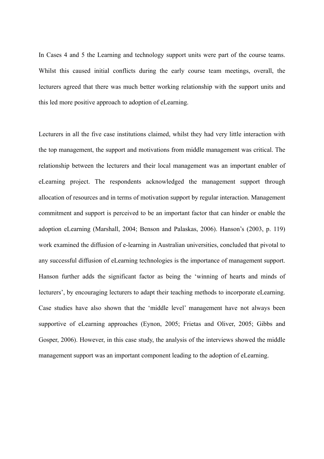In Cases 4 and 5 the Learning and technology support units were part of the course teams. Whilst this caused initial conflicts during the early course team meetings, overall, the lecturers agreed that there was much better working relationship with the support units and this led more positive approach to adoption of eLearning.

Lecturers in all the five case institutions claimed, whilst they had very little interaction with the top management, the support and motivations from middle management was critical. The relationship between the lecturers and their local management was an important enabler of eLearning project. The respondents acknowledged the management support through allocation of resources and in terms of motivation support by regular interaction. Management commitment and support is perceived to be an important factor that can hinder or enable the adoption eLearning (Marshall, 2004; Benson and Palaskas, 2006). Hanson's (2003, p. 119) work examined the diffusion of e-learning in Australian universities, concluded that pivotal to any successful diffusion of eLearning technologies is the importance of management support. Hanson further adds the significant factor as being the 'winning of hearts and minds of lecturers', by encouraging lecturers to adapt their teaching methods to incorporate eLearning. Case studies have also shown that the 'middle level' management have not always been supportive of eLearning approaches (Eynon, 2005; Frietas and Oliver, 2005; Gibbs and Gosper, 2006). However, in this case study, the analysis of the interviews showed the middle management support was an important component leading to the adoption of eLearning.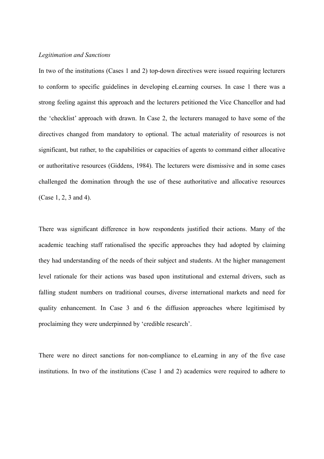#### *Legitimation and Sanctions*

In two of the institutions (Cases 1 and 2) top-down directives were issued requiring lecturers to conform to specific guidelines in developing eLearning courses. In case 1 there was a strong feeling against this approach and the lecturers petitioned the Vice Chancellor and had the 'checklist' approach with drawn. In Case 2, the lecturers managed to have some of the directives changed from mandatory to optional. The actual materiality of resources is not significant, but rather, to the capabilities or capacities of agents to command either allocative or authoritative resources (Giddens, 1984). The lecturers were dismissive and in some cases challenged the domination through the use of these authoritative and allocative resources (Case 1, 2, 3 and 4).

There was significant difference in how respondents justified their actions. Many of the academic teaching staff rationalised the specific approaches they had adopted by claiming they had understanding of the needs of their subject and students. At the higher management level rationale for their actions was based upon institutional and external drivers, such as falling student numbers on traditional courses, diverse international markets and need for quality enhancement. In Case 3 and 6 the diffusion approaches where legitimised by proclaiming they were underpinned by 'credible research'.

There were no direct sanctions for non-compliance to eLearning in any of the five case institutions. In two of the institutions (Case 1 and 2) academics were required to adhere to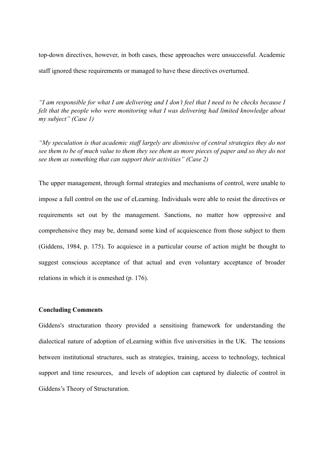top-down directives, however, in both cases, these approaches were unsuccessful. Academic staff ignored these requirements or managed to have these directives overturned.

*"I am responsible for what I am delivering and I don't feel that I need to be checks because I felt that the people who were monitoring what I was delivering had limited knowledge about my subject" (Case 1)*

*"My speculation is that academic staff largely are dismissive of central strategies they do not see them to be of much value to them they see them as more pieces of paper and so they do not see them as something that can support their activities" (Case 2)*

The upper management, through formal strategies and mechanisms of control, were unable to impose a full control on the use of eLearning. Individuals were able to resist the directives or requirements set out by the management. Sanctions, no matter how oppressive and comprehensive they may be, demand some kind of acquiescence from those subject to them (Giddens, 1984, p. 175). To acquiesce in a particular course of action might be thought to suggest conscious acceptance of that actual and even voluntary acceptance of broader relations in which it is enmeshed (p. 176).

#### **Concluding Comments**

Giddens's structuration theory provided a sensitising framework for understanding the dialectical nature of adoption of eLearning within five universities in the UK. The tensions between institutional structures, such as strategies, training, access to technology, technical support and time resources, and levels of adoption can captured by dialectic of control in Giddens's Theory of Structuration.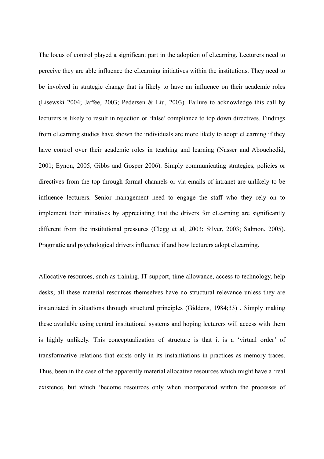The locus of control played a significant part in the adoption of eLearning. Lecturers need to perceive they are able influence the eLearning initiatives within the institutions. They need to be involved in strategic change that is likely to have an influence on their academic roles (Lisewski 2004; Jaffee, 2003; Pedersen & Liu, 2003). Failure to acknowledge this call by lecturers is likely to result in rejection or 'false' compliance to top down directives. Findings from eLearning studies have shown the individuals are more likely to adopt eLearning if they have control over their academic roles in teaching and learning (Nasser and Abouchedid, 2001; Eynon, 2005; Gibbs and Gosper 2006). Simply communicating strategies, policies or directives from the top through formal channels or via emails of intranet are unlikely to be influence lecturers. Senior management need to engage the staff who they rely on to implement their initiatives by appreciating that the drivers for eLearning are significantly different from the institutional pressures (Clegg et al, 2003; Silver, 2003; Salmon, 2005). Pragmatic and psychological drivers influence if and how lecturers adopt eLearning.

Allocative resources, such as training, IT support, time allowance, access to technology, help desks; all these material resources themselves have no structural relevance unless they are instantiated in situations through structural principles (Giddens, 1984;33) . Simply making these available using central institutional systems and hoping lecturers will access with them is highly unlikely. This conceptualization of structure is that it is a 'virtual order' of transformative relations that exists only in its instantiations in practices as memory traces. Thus, been in the case of the apparently material allocative resources which might have a 'real existence, but which 'become resources only when incorporated within the processes of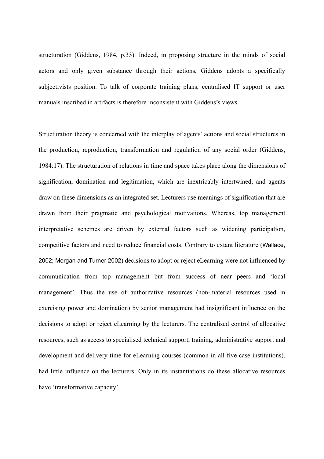structuration (Giddens, 1984, p.33). Indeed, in proposing structure in the minds of social actors and only given substance through their actions, Giddens adopts a specifically subjectivists position. To talk of corporate training plans, centralised IT support or user manuals inscribed in artifacts is therefore inconsistent with Giddens's views.

Structuration theory is concerned with the interplay of agents' actions and social structures in the production, reproduction, transformation and regulation of any social order (Giddens, 1984:17). The structuration of relations in time and space takes place along the dimensions of signification, domination and legitimation, which are inextricably intertwined, and agents draw on these dimensions as an integrated set. Lecturers use meanings of signification that are drawn from their pragmatic and psychological motivations. Whereas, top management interpretative schemes are driven by external factors such as widening participation, competitive factors and need to reduce financial costs. Contrary to extant literature (Wallace, 2002; Morgan and Turner 2002) decisions to adopt or reject eLearning were not influenced by communication from top management but from success of near peers and 'local management'. Thus the use of authoritative resources (non-material resources used in exercising power and domination) by senior management had insignificant influence on the decisions to adopt or reject eLearning by the lecturers. The centralised control of allocative resources, such as access to specialised technical support, training, administrative support and development and delivery time for eLearning courses (common in all five case institutions), had little influence on the lecturers. Only in its instantiations do these allocative resources have 'transformative capacity'.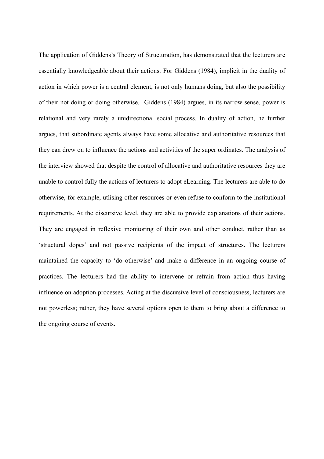The application of Giddens's Theory of Structuration, has demonstrated that the lecturers are essentially knowledgeable about their actions. For Giddens (1984), implicit in the duality of action in which power is a central element, is not only humans doing, but also the possibility of their not doing or doing otherwise. Giddens (1984) argues, in its narrow sense, power is relational and very rarely a unidirectional social process. In duality of action, he further argues, that subordinate agents always have some allocative and authoritative resources that they can drew on to influence the actions and activities of the super ordinates. The analysis of the interview showed that despite the control of allocative and authoritative resources they are unable to control fully the actions of lecturers to adopt eLearning. The lecturers are able to do otherwise, for example, utlising other resources or even refuse to conform to the institutional requirements. At the discursive level, they are able to provide explanations of their actions. They are engaged in reflexive monitoring of their own and other conduct, rather than as 'structural dopes' and not passive recipients of the impact of structures. The lecturers maintained the capacity to 'do otherwise' and make a difference in an ongoing course of practices. The lecturers had the ability to intervene or refrain from action thus having influence on adoption processes. Acting at the discursive level of consciousness, lecturers are not powerless; rather, they have several options open to them to bring about a difference to the ongoing course of events.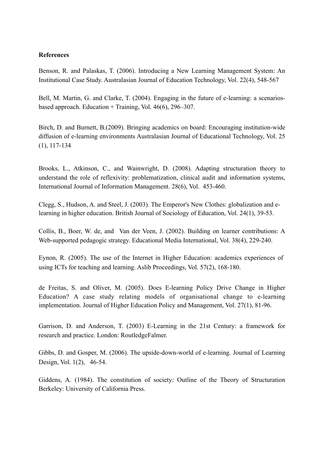### **References**

Benson, R. and Palaskas, T. (2006). Introducing a New Learning Management System: An Institutional Case Study. Australasian Journal of Education Technology, Vol. 22(4), 548-567

Bell, M. Martin, G. and Clarke, T. (2004). Engaging in the future of e-learning: a scenariosbased approach. Education + Training, Vol. 46(6), 296–307.

Birch, D. and Burnett, B.(2009). Bringing academics on board: Encouraging institution-wide diffusion of e-learning environments Australasian Journal of Educational Technology, Vol. 25 (1), 117-134

Brooks, L., Atkinson, C., and Wainwright, D. (2008). Adapting structuration theory to understand the role of reflexivity: problematization, clinical audit and information systems, International Journal of Information Management. 28(6), Vol. 453-460.

Clegg, S., Hudson, A. and Steel, J. (2003). The Emperor's New Clothes: globalization and elearning in higher education. British Journal of Sociology of Education, Vol. 24(1), 39-53.

Collis, B., Boer, W. de, and Van der Veen, J. (2002). Building on learner contributions: A Web-supported pedagogic strategy. Educational Media International, Vol. 38(4), 229-240.

Eynon, R. (2005). The use of the Internet in Higher Education: academics experiences of using ICTs for teaching and learning. Aslib Proceedings, Vol. 57(2), 168-180.

de Freitas, S. and Oliver, M. (2005). Does E-learning Policy Drive Change in Higher Education? A case study relating models of organisational change to e-learning implementation. Journal of Higher Education Policy and Management, Vol. 27(1), 81-96.

Garrison, D. and Anderson, T. (2003) E-Learning in the 21st Century: a framework for research and practice. London: RoutledgeFalmer.

Gibbs, D. and Gosper, M. (2006). The upside-down-world of e-learning. Journal of Learning Design, Vol. 1(2), 46-54.

Giddens, A. (1984). The constitution of society: Outline of the Theory of Structuration Berkeley: University of California Press.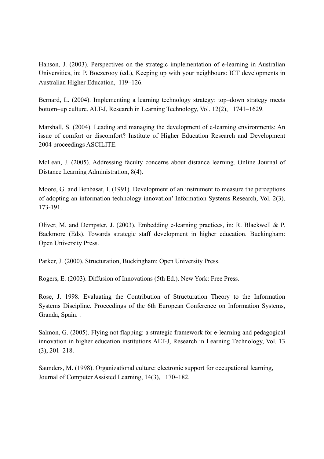Hanson, J. (2003). Perspectives on the strategic implementation of e-learning in Australian Universities, in: P. Boezerooy (ed.), Keeping up with your neighbours: ICT developments in Australian Higher Education, 119–126.

Bernard, L. (2004). Implementing a learning technology strategy: top–down strategy meets bottom–up culture. ALT-J, Research in Learning Technology, Vol. 12(2), 1741–1629.

Marshall, S. (2004). Leading and managing the development of e-learning environments: An issue of comfort or discomfort? Institute of Higher Education Research and Development 2004 proceedings ASCILITE.

McLean, J. (2005). Addressing faculty concerns about distance learning. Online Journal of Distance Learning Administration, 8(4).

Moore, G. and Benbasat, I. (1991). Development of an instrument to measure the perceptions of adopting an information technology innovation' Information Systems Research, Vol. 2(3), 173-191.

Oliver, M. and Dempster, J. (2003). Embedding e-learning practices, in: R. Blackwell & P. Backmore (Eds). Towards strategic staff development in higher education. Buckingham: Open University Press.

Parker, J. (2000). Structuration, Buckingham: Open University Press.

Rogers, E. (2003). Diffusion of Innovations (5th Ed.). New York: Free Press.

Rose, J. 1998. Evaluating the Contribution of Structuration Theory to the Information Systems Discipline. Proceedings of the 6th European Conference on Information Systems, Granda, Spain. .

Salmon, G. (2005). Flying not flapping: a strategic framework for e-learning and pedagogical innovation in higher education institutions ALT-J, Research in Learning Technology, Vol. 13 (3), 201–218.

Saunders, M. (1998). Organizational culture: electronic support for occupational learning, Journal of Computer Assisted Learning, 14(3), 170–182.